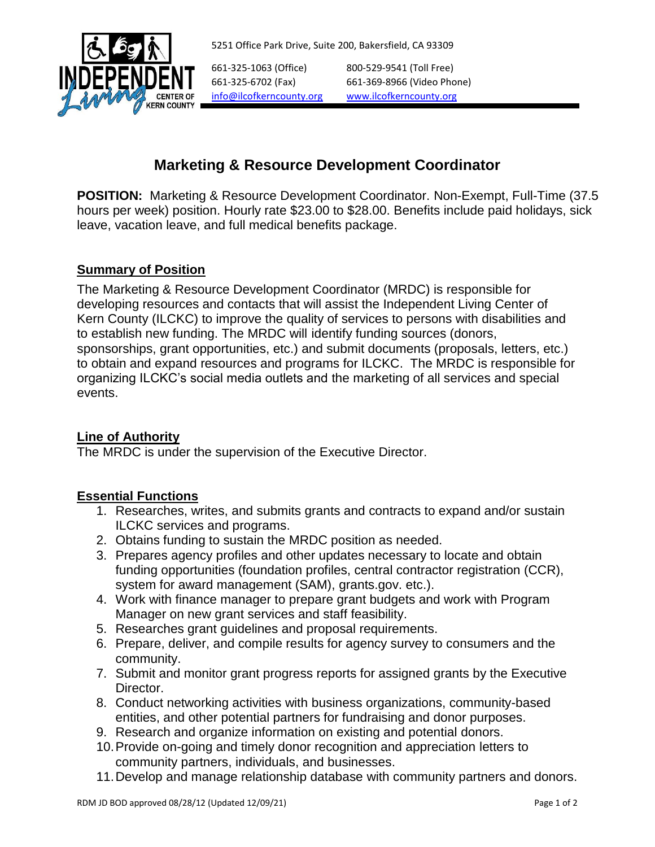



661-325-1063 (Office) 800-529-9541 (Toll Free) 661-325-6702 (Fax) 661-369-8966 (Video Phone) [info@ilcofkerncounty.org](mailto:info@ilcofkerncounty.org) [www.ilcofkerncounty.org](http://www.ilcofkerncounty.org/)

# **Marketing & Resource Development Coordinator**

**POSITION:** Marketing & Resource Development Coordinator. Non-Exempt, Full-Time (37.5 hours per week) position. Hourly rate \$23.00 to \$28.00. Benefits include paid holidays, sick leave, vacation leave, and full medical benefits package.

# **Summary of Position**

The Marketing & Resource Development Coordinator (MRDC) is responsible for developing resources and contacts that will assist the Independent Living Center of Kern County (ILCKC) to improve the quality of services to persons with disabilities and to establish new funding. The MRDC will identify funding sources (donors, sponsorships, grant opportunities, etc.) and submit documents (proposals, letters, etc.) to obtain and expand resources and programs for ILCKC. The MRDC is responsible for organizing ILCKC's social media outlets and the marketing of all services and special events.

# **Line of Authority**

The MRDC is under the supervision of the Executive Director.

# **Essential Functions**

- 1. Researches, writes, and submits grants and contracts to expand and/or sustain ILCKC services and programs.
- 2. Obtains funding to sustain the MRDC position as needed.
- 3. Prepares agency profiles and other updates necessary to locate and obtain funding opportunities (foundation profiles, central contractor registration (CCR), system for award management (SAM), grants.gov. etc.).
- 4. Work with finance manager to prepare grant budgets and work with Program Manager on new grant services and staff feasibility.
- 5. Researches grant guidelines and proposal requirements.
- 6. Prepare, deliver, and compile results for agency survey to consumers and the community.
- 7. Submit and monitor grant progress reports for assigned grants by the Executive Director.
- 8. Conduct networking activities with business organizations, community-based entities, and other potential partners for fundraising and donor purposes.
- 9. Research and organize information on existing and potential donors.
- 10.Provide on-going and timely donor recognition and appreciation letters to community partners, individuals, and businesses.
- 11.Develop and manage relationship database with community partners and donors.